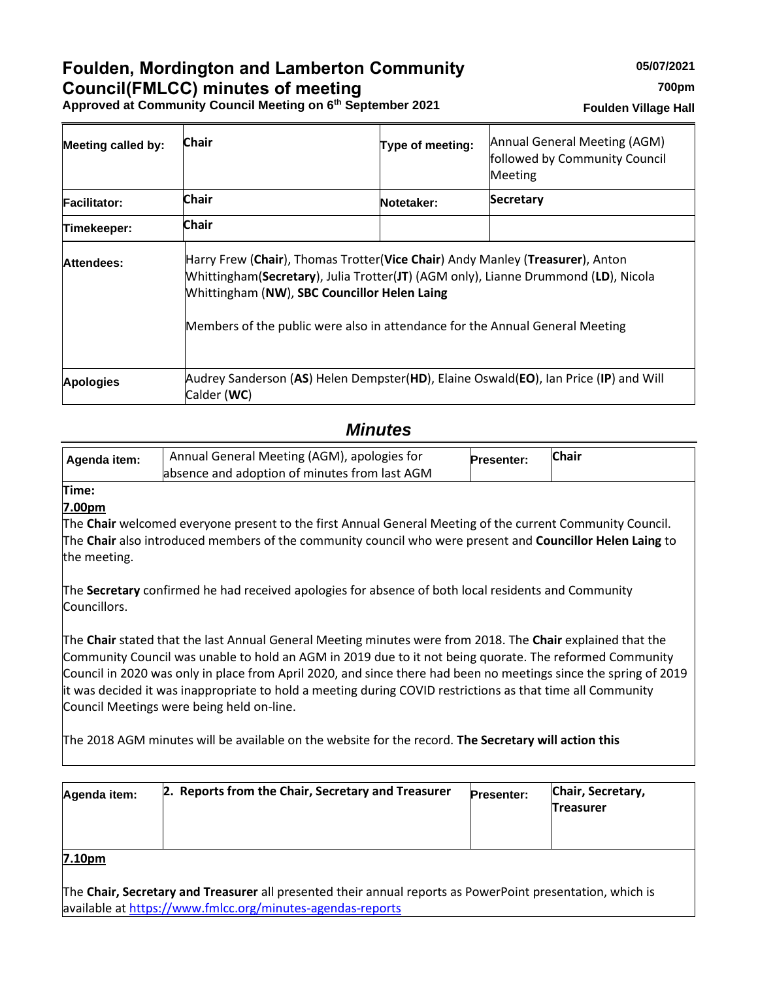## **Foulden, Mordington and Lamberton Community Council(FMLCC) minutes of meeting**

**Approved at Community Council Meeting on 6th September 2021**

| <b>Meeting called by:</b> | Chair                                        | Type of meeting:                                                                                                                                                                                                                                    | Annual General Meeting (AGM)<br>followed by Community Council<br><b>Meeting</b>      |  |
|---------------------------|----------------------------------------------|-----------------------------------------------------------------------------------------------------------------------------------------------------------------------------------------------------------------------------------------------------|--------------------------------------------------------------------------------------|--|
| <b>Facilitator:</b>       | <b>Chair</b>                                 | Notetaker:                                                                                                                                                                                                                                          | Secretary                                                                            |  |
| Timekeeper:               | <b>Chair</b>                                 |                                                                                                                                                                                                                                                     |                                                                                      |  |
| Attendees:                | Whittingham (NW), SBC Councillor Helen Laing | Harry Frew (Chair), Thomas Trotter(Vice Chair) Andy Manley (Treasurer), Anton<br>Whittingham(Secretary), Julia Trotter(JT) (AGM only), Lianne Drummond (LD), Nicola<br>Members of the public were also in attendance for the Annual General Meeting |                                                                                      |  |
| <b>Apologies</b>          | Calder (WC)                                  |                                                                                                                                                                                                                                                     | Audrey Sanderson (AS) Helen Dempster(HD), Elaine Oswald(EO), Ian Price (IP) and Will |  |

### *Minutes*

| Agenda item: | Annual General Meeting (AGM), apologies for   | <b>Presenter:</b> | <b>Chair</b> |
|--------------|-----------------------------------------------|-------------------|--------------|
|              | absence and adoption of minutes from last AGM |                   |              |

# **Time:**

**7.00pm**

The **Chair** welcomed everyone present to the first Annual General Meeting of the current Community Council. The **Chair** also introduced members of the community council who were present and **Councillor Helen Laing** to the meeting.

The **Secretary** confirmed he had received apologies for absence of both local residents and Community Councillors.

The **Chair** stated that the last Annual General Meeting minutes were from 2018. The **Chair** explained that the Community Council was unable to hold an AGM in 2019 due to it not being quorate. The reformed Community Council in 2020 was only in place from April 2020, and since there had been no meetings since the spring of 2019 it was decided it was inappropriate to hold a meeting during COVID restrictions as that time all Community Council Meetings were being held on-line.

The 2018 AGM minutes will be available on the website for the record. **The Secretary will action this**

| Agenda item:       | 2. Reports from the Chair, Secretary and Treasurer | <b>Presenter:</b> | Chair, Secretary,<br><b>Treasurer</b> |
|--------------------|----------------------------------------------------|-------------------|---------------------------------------|
| 7.10 <sub>pm</sub> |                                                    |                   |                                       |

The **Chair, Secretary and Treasurer** all presented their annual reports as PowerPoint presentation, which is available at<https://www.fmlcc.org/minutes-agendas-reports>

| <b>Foulden Village Hall</b> |  |  |
|-----------------------------|--|--|
|-----------------------------|--|--|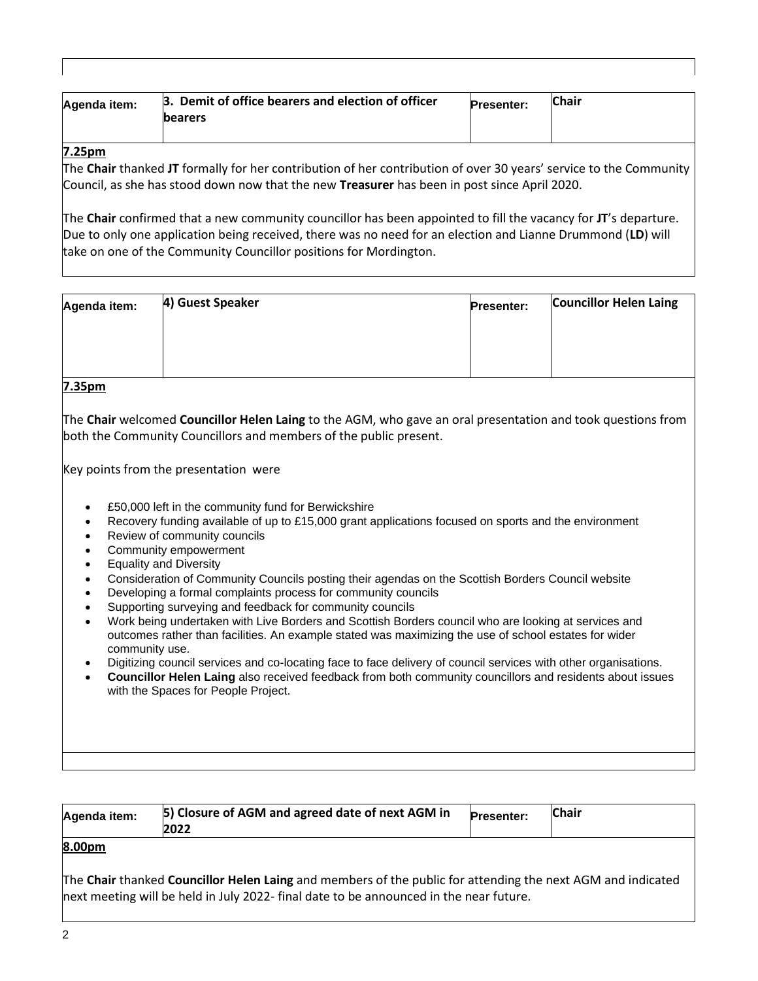| Agenda item: | 3. Demit of office bearers and election of officer<br><b>bearers</b> | <b>Presenter:</b> | <b>Chair</b> |
|--------------|----------------------------------------------------------------------|-------------------|--------------|
|              |                                                                      |                   |              |

#### **7.25pm**

The **Chair** thanked **JT** formally for her contribution of her contribution of over 30 years' service to the Community Council, as she has stood down now that the new **Treasurer** has been in post since April 2020.

The **Chair** confirmed that a new community councillor has been appointed to fill the vacancy for **JT**'s departure. Due to only one application being received, there was no need for an election and Lianne Drummond (**LD**) will take on one of the Community Councillor positions for Mordington.

| 4) Guest Speaker | <b>Presenter:</b> | <b>Councillor Helen Laing</b> |
|------------------|-------------------|-------------------------------|
|                  |                   |                               |
|                  |                   |                               |
|                  |                   |                               |

#### **7.35pm**

The **Chair** welcomed **Councillor Helen Laing** to the AGM, who gave an oral presentation and took questions from both the Community Councillors and members of the public present.

Key points from the presentation were

- £50,000 left in the community fund for Berwickshire
- Recovery funding available of up to £15,000 grant applications focused on sports and the environment
- Review of community councils
- Community empowerment
- Equality and Diversity
- Consideration of Community Councils posting their agendas on the Scottish Borders Council website
- Developing a formal complaints process for community councils
- Supporting surveying and feedback for community councils
- Work being undertaken with Live Borders and Scottish Borders council who are looking at services and outcomes rather than facilities. An example stated was maximizing the use of school estates for wider community use.
- Digitizing council services and co-locating face to face delivery of council services with other organisations.
- **Councillor Helen Laing** also received feedback from both community councillors and residents about issues with the Spaces for People Project.

| Agenda item: | 5) Closure of AGM and agreed date of next AGM in<br>2022 | <b>Presenter:</b> | Chair |
|--------------|----------------------------------------------------------|-------------------|-------|
|              |                                                          |                   |       |

#### **8.00pm**

The **Chair** thanked **Councillor Helen Laing** and members of the public for attending the next AGM and indicated next meeting will be held in July 2022- final date to be announced in the near future.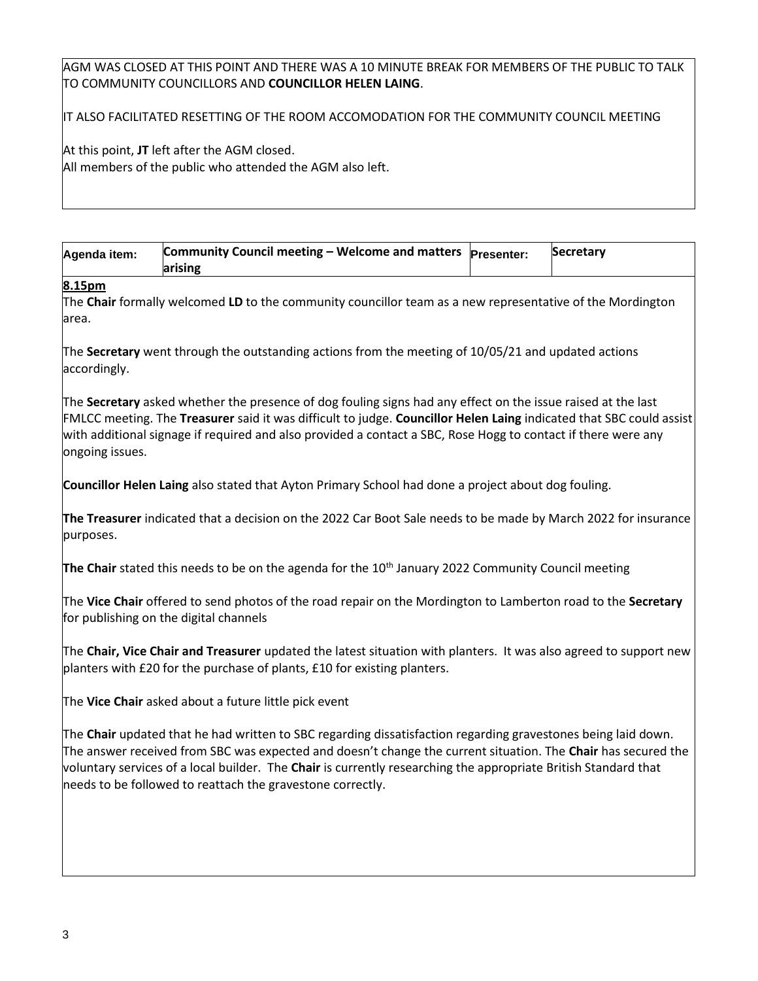#### AGM WAS CLOSED AT THIS POINT AND THERE WAS A 10 MINUTE BREAK FOR MEMBERS OF THE PUBLIC TO TALK TO COMMUNITY COUNCILLORS AND **COUNCILLOR HELEN LAING**.

IT ALSO FACILITATED RESETTING OF THE ROOM ACCOMODATION FOR THE COMMUNITY COUNCIL MEETING

At this point, **JT** left after the AGM closed. All members of the public who attended the AGM also left.

| Agenda item: | Community Council meeting – Welcome and matters $ $ Presenter: | <b>Secretary</b> |
|--------------|----------------------------------------------------------------|------------------|
|              | arising                                                        |                  |

#### **8.15pm**

The **Chair** formally welcomed **LD** to the community councillor team as a new representative of the Mordington area.

The **Secretary** went through the outstanding actions from the meeting of 10/05/21 and updated actions accordingly.

The **Secretary** asked whether the presence of dog fouling signs had any effect on the issue raised at the last FMLCC meeting. The **Treasurer** said it was difficult to judge. **Councillor Helen Laing** indicated that SBC could assist with additional signage if required and also provided a contact a SBC, Rose Hogg to contact if there were any ongoing issues.

**Councillor Helen Laing** also stated that Ayton Primary School had done a project about dog fouling.

**The Treasurer** indicated that a decision on the 2022 Car Boot Sale needs to be made by March 2022 for insurance purposes.

**The Chair** stated this needs to be on the agenda for the 10th January 2022 Community Council meeting

The **Vice Chair** offered to send photos of the road repair on the Mordington to Lamberton road to the **Secretary** for publishing on the digital channels

The **Chair, Vice Chair and Treasurer** updated the latest situation with planters. It was also agreed to support new planters with £20 for the purchase of plants, £10 for existing planters.

The **Vice Chair** asked about a future little pick event

The **Chair** updated that he had written to SBC regarding dissatisfaction regarding gravestones being laid down. The answer received from SBC was expected and doesn't change the current situation. The **Chair** has secured the voluntary services of a local builder. The **Chair** is currently researching the appropriate British Standard that needs to be followed to reattach the gravestone correctly.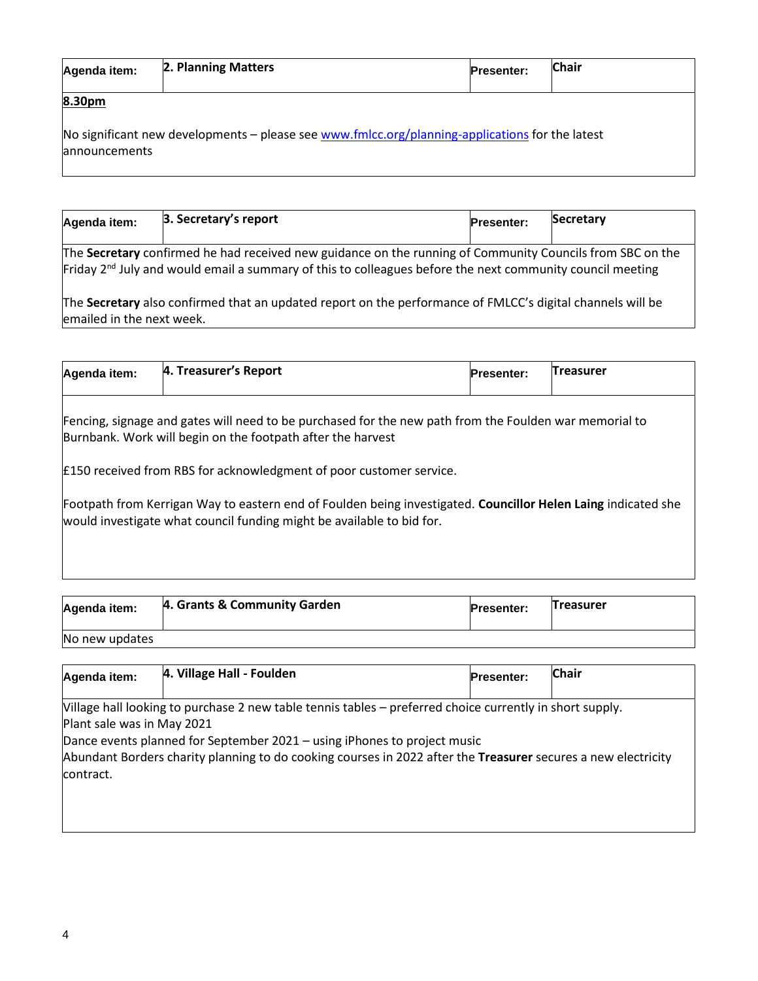| Agenda item:                    | 2. Planning Matters                                                                             | <b>Presenter:</b> | <b>Chair</b> |
|---------------------------------|-------------------------------------------------------------------------------------------------|-------------------|--------------|
| 8.30pm<br><b>lannouncements</b> | No significant new developments - please see www.fmlcc.org/planning-applications for the latest |                   |              |

| Agenda item: | 3. Secretary's report                                                                                                           | <b>Presenter:</b> | <b>Secretary</b> |
|--------------|---------------------------------------------------------------------------------------------------------------------------------|-------------------|------------------|
|              | The Secretary confirmed he had received new guidance on the running of Community Councils from SBC on the                       |                   |                  |
|              | $\mathsf{Friday}\,2^{\text{nd}}$ July and would email a summary of this to colleagues before the next community council meeting |                   |                  |

The **Secretary** also confirmed that an updated report on the performance of FMLCC's digital channels will be emailed in the next week.

| Agenda item:                                                                                                                                                                           | 4. Treasurer's Report                                               | <b>Presenter:</b> | <b>Treasurer</b> |  |
|----------------------------------------------------------------------------------------------------------------------------------------------------------------------------------------|---------------------------------------------------------------------|-------------------|------------------|--|
| Fencing, signage and gates will need to be purchased for the new path from the Foulden war memorial to<br>Burnbank. Work will begin on the footpath after the harvest                  |                                                                     |                   |                  |  |
|                                                                                                                                                                                        | E150 received from RBS for acknowledgment of poor customer service. |                   |                  |  |
| Footpath from Kerrigan Way to eastern end of Foulden being investigated. Councillor Helen Laing indicated she<br>would investigate what council funding might be available to bid for. |                                                                     |                   |                  |  |
|                                                                                                                                                                                        |                                                                     |                   |                  |  |

| Agenda item:   | 4. Grants & Community Garden | <b>Presenter:</b> | Treasurer |
|----------------|------------------------------|-------------------|-----------|
| No new updates |                              |                   |           |

| 4. Village Hall - Foulden                                                                                     |  | <b>Chair</b>                                                                                                                   |  |  |
|---------------------------------------------------------------------------------------------------------------|--|--------------------------------------------------------------------------------------------------------------------------------|--|--|
|                                                                                                               |  |                                                                                                                                |  |  |
|                                                                                                               |  |                                                                                                                                |  |  |
| Plant sale was in May 2021                                                                                    |  |                                                                                                                                |  |  |
| Dance events planned for September 2021 – using iPhones to project music                                      |  |                                                                                                                                |  |  |
| Abundant Borders charity planning to do cooking courses in 2022 after the Treasurer secures a new electricity |  |                                                                                                                                |  |  |
| contract.                                                                                                     |  |                                                                                                                                |  |  |
|                                                                                                               |  |                                                                                                                                |  |  |
|                                                                                                               |  |                                                                                                                                |  |  |
|                                                                                                               |  | <b>Presenter:</b><br>[Village hall looking to purchase 2 new table tennis tables – preferred choice currently in short supply. |  |  |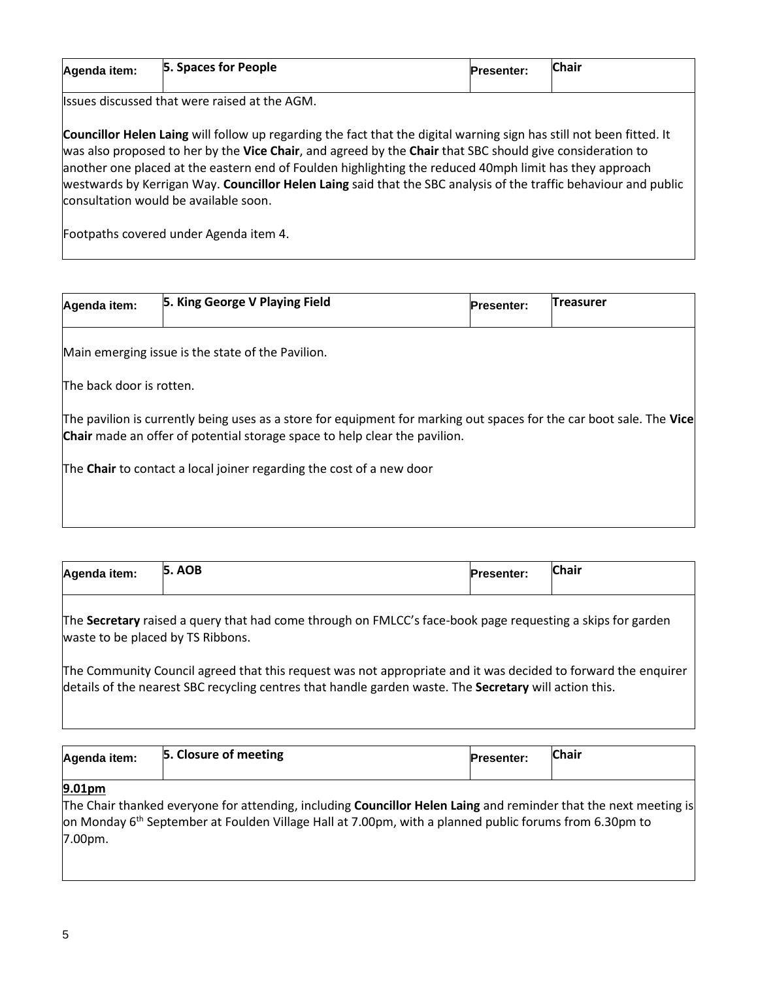| Agenda item: | 5. Spaces for People | <b>Presenter:</b> | Chair |
|--------------|----------------------|-------------------|-------|
| . .          | .<br>.               |                   |       |

Issues discussed that were raised at the AGM.

**Councillor Helen Laing** will follow up regarding the fact that the digital warning sign has still not been fitted. It was also proposed to her by the **Vice Chair**, and agreed by the **Chair** that SBC should give consideration to another one placed at the eastern end of Foulden highlighting the reduced 40mph limit has they approach westwards by Kerrigan Way. **Councillor Helen Laing** said that the SBC analysis of the traffic behaviour and public consultation would be available soon.

Footpaths covered under Agenda item 4.

| Agenda item:             | 5. King George V Playing Field                    | <b>Presenter:</b> | Treasurer |
|--------------------------|---------------------------------------------------|-------------------|-----------|
|                          | Main emerging issue is the state of the Pavilion. |                   |           |
| The back door is rotten. |                                                   |                   |           |

The pavilion is currently being uses as a store for equipment for marking out spaces for the car boot sale. The **Vice Chair** made an offer of potential storage space to help clear the pavilion.

The **Chair** to contact a local joiner regarding the cost of a new door

|  | <b>Chair</b><br><b>AOB</b><br>5.<br>Agenda item:<br><b>Presenter:</b> |  |
|--|-----------------------------------------------------------------------|--|
|--|-----------------------------------------------------------------------|--|

The **Secretary** raised a query that had come through on FMLCC's face-book page requesting a skips for garden waste to be placed by TS Ribbons.

The Community Council agreed that this request was not appropriate and it was decided to forward the enquirer details of the nearest SBC recycling centres that handle garden waste. The **Secretary** will action this.

| Agenda item: | 5. Closure of meeting | <b>Presenter:</b> | <b>Chair</b> |
|--------------|-----------------------|-------------------|--------------|
| 9.01nm       |                       |                   |              |

#### **9.01pm**

The Chair thanked everyone for attending, including **Councillor Helen Laing** and reminder that the next meeting is on Monday 6th September at Foulden Village Hall at 7.00pm, with a planned public forums from 6.30pm to 7.00pm.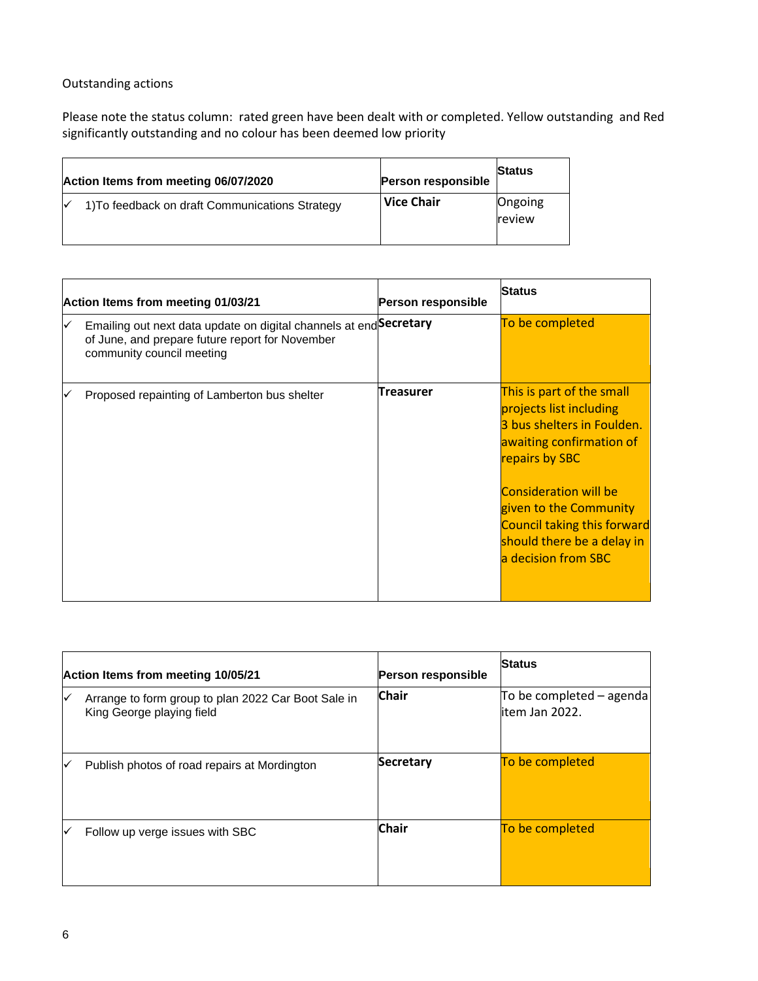### Outstanding actions

Please note the status column: rated green have been dealt with or completed. Yellow outstanding and Red significantly outstanding and no colour has been deemed low priority

| Action Items from meeting 06/07/2020            | <b>Person responsible</b> | <b>Status</b>     |
|-------------------------------------------------|---------------------------|-------------------|
| 1) To feedback on draft Communications Strategy | l Vice Chair              | Ongoing<br>review |

| Action Items from meeting 01/03/21 |                                                                                                                                                    | Person responsible | <b>Status</b>                                                                                                                                                                                                                                                                         |
|------------------------------------|----------------------------------------------------------------------------------------------------------------------------------------------------|--------------------|---------------------------------------------------------------------------------------------------------------------------------------------------------------------------------------------------------------------------------------------------------------------------------------|
|                                    | Emailing out next data update on digital channels at end Secretary<br>of June, and prepare future report for November<br>community council meeting |                    | To be completed                                                                                                                                                                                                                                                                       |
|                                    | Proposed repainting of Lamberton bus shelter                                                                                                       | Treasurer          | This is part of the small<br>projects list including<br>3 bus shelters in Foulden.<br>awaiting confirmation of<br>repairs by SBC<br><b>Consideration will be</b><br>given to the Community<br><b>Council taking this forward</b><br>should there be a delay in<br>a decision from SBC |

|   | Action Items from meeting 10/05/21                                               | Person responsible | <b>Status</b>                                 |
|---|----------------------------------------------------------------------------------|--------------------|-----------------------------------------------|
| ∨ | Arrange to form group to plan 2022 Car Boot Sale in<br>King George playing field | <b>Chair</b>       | To be completed $-$ agenda<br>litem Jan 2022. |
| ∨ | Publish photos of road repairs at Mordington                                     | <b>Secretary</b>   | To be completed                               |
| ✓ | Follow up verge issues with SBC                                                  | <b>Chair</b>       | To be completed                               |